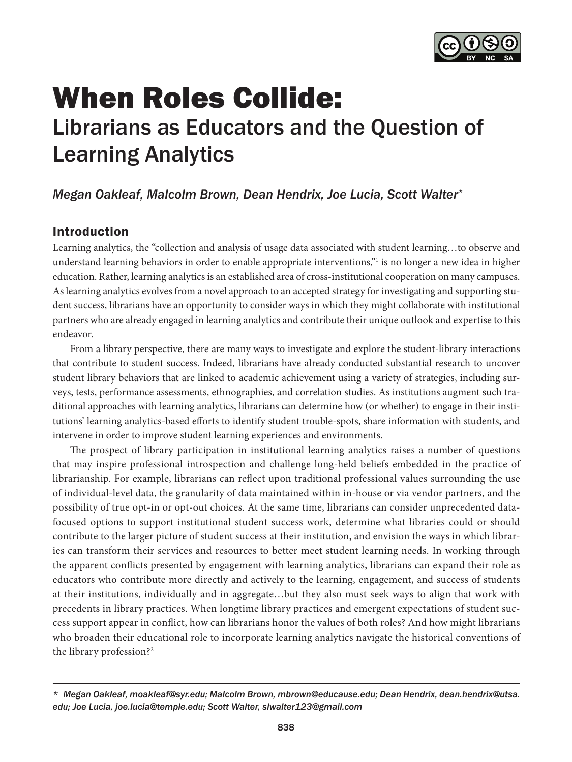

# <span id="page-0-0"></span>When Roles Collide: Librarians as Educators and the Question of Learning Analytics

# *Megan Oakleaf, Malcolm Brown, Dean Hendrix, Joe Lucia, Scott Walter\**

### Introduction

Learning analytics, the "collection and analysis of usage data associated with student learning…to observe and understand learning behaviors in order to enable appropriate interventions," is no longer a new idea in higher education. Rather, learning analytics is an established area of cross-institutional cooperation on many campuses. As learning analytics evolves from a novel approach to an accepted strategy for investigating and supporting student success, librarians have an opportunity to consider ways in which they might collaborate with institutional partners who are already engaged in learning analytics and contribute their unique outlook and expertise to this endeavor.

From a library perspective, there are many ways to investigate and explore the student-library interactions that contribute to student success. Indeed, librarians have already conducted substantial research to uncover student library behaviors that are linked to academic achievement using a variety of strategies, including surveys, tests, performance assessments, ethnographies, and correlation studies. As institutions augment such traditional approaches with learning analytics, librarians can determine how (or whether) to engage in their institutions' learning analytics-based efforts to identify student trouble-spots, share information with students, and intervene in order to improve student learning experiences and environments.

The prospect of library participation in institutional learning analytics raises a number of questions that may inspire professional introspection and challenge long-held beliefs embedded in the practice of librarianship. For example, librarians can reflect upon traditional professional values surrounding the use of individual-level data, the granularity of data maintained within in-house or via vendor partners, and the possibility of true opt-in or opt-out choices. At the same time, librarians can consider unprecedented datafocused options to support institutional student success work, determine what libraries could or should contribute to the larger picture of student success at their institution, and envision the ways in which libraries can transform their services and resources to better meet student learning needs. In working through the apparent conflicts presented by engagement with learning analytics, librarians can expand their role as educators who contribute more directly and actively to the learning, engagement, and success of students at their institutions, individually and in aggregate…but they also must seek ways to align that work with precedents in library practices. When longtime library practices and emergent expectations of student success support appear in conflict, how can librarians honor the values of both roles? And how might librarians who broaden their educational role to incorporate learning analytics navigate the historical conventions of the library profession[?2](#page-8-0)

*<sup>\*</sup> Megan Oakleaf, [moakleaf@syr.edu](mailto:moakleaf@syr.edu); Malcolm Brown, [mbrown@educause.edu;](mailto:mbrown@educause.edu) Dean Hendrix, [dean.hendrix@utsa.](mailto:dean.hendrix@utsa.edu) [edu;](mailto:dean.hendrix@utsa.edu) Joe Lucia, [joe.lucia@temple.edu;](mailto:joe.lucia@temple.edu) Scott Walter, [slwalter123@gmail.com](mailto:slwalter123@gmail.com)*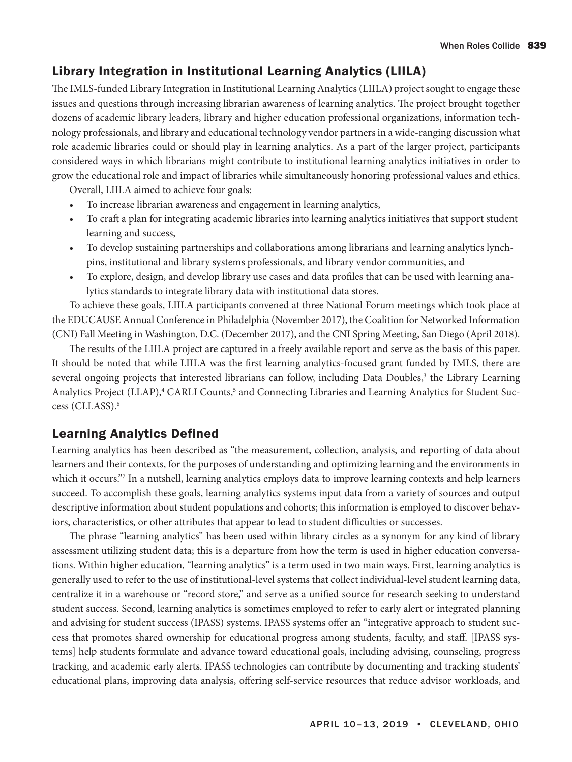# <span id="page-1-0"></span>Library Integration in Institutional Learning Analytics (LIILA)

The IMLS-funded Library Integration in Institutional Learning Analytics (LIILA) project sought to engage these issues and questions through increasing librarian awareness of learning analytics. The project brought together dozens of academic library leaders, library and higher education professional organizations, information technology professionals, and library and educational technology vendor partners in a wide-ranging discussion what role academic libraries could or should play in learning analytics. As a part of the larger project, participants considered ways in which librarians might contribute to institutional learning analytics initiatives in order to grow the educational role and impact of libraries while simultaneously honoring professional values and ethics.

Overall, LIILA aimed to achieve four goals:

- To increase librarian awareness and engagement in learning analytics,
- To craft a plan for integrating academic libraries into learning analytics initiatives that support student learning and success,
- To develop sustaining partnerships and collaborations among librarians and learning analytics lynchpins, institutional and library systems professionals, and library vendor communities, and
- To explore, design, and develop library use cases and data profiles that can be used with learning analytics standards to integrate library data with institutional data stores.

To achieve these goals, LIILA participants convened at three National Forum meetings which took place at the EDUCAUSE Annual Conference in Philadelphia (November 2017), the Coalition for Networked Information (CNI) Fall Meeting in Washington, D.C. (December 2017), and the CNI Spring Meeting, San Diego (April 2018).

The results of the LIILA project are captured in a freely available report and serve as the basis of this paper. It should be noted that while LIILA was the first learning analytics-focused grant funded by IMLS, there are several ongoing projects that interested librarians can follow, including Data Doubles,<sup>[3](#page-8-0)</sup> the Library Learning Analytics Project (LLAP),<sup>[4](#page-8-0)</sup> CARLI Counts,<sup>5</sup> and Connecting Libraries and Learning Analytics for Student Success (CLLASS)[.6](#page-8-0)

# Learning Analytics Defined

Learning analytics has been described as "the measurement, collection, analysis, and reporting of data about learners and their contexts, for the purposes of understanding and optimizing learning and the environments in which it occurs.["7](#page-8-0) In a nutshell, learning analytics employs data to improve learning contexts and help learners succeed. To accomplish these goals, learning analytics systems input data from a variety of sources and output descriptive information about student populations and cohorts; this information is employed to discover behaviors, characteristics, or other attributes that appear to lead to student difficulties or successes.

The phrase "learning analytics" has been used within library circles as a synonym for any kind of library assessment utilizing student data; this is a departure from how the term is used in higher education conversations. Within higher education, "learning analytics" is a term used in two main ways. First, learning analytics is generally used to refer to the use of institutional-level systems that collect individual-level student learning data, centralize it in a warehouse or "record store," and serve as a unified source for research seeking to understand student success. Second, learning analytics is sometimes employed to refer to early alert or integrated planning and advising for student success (IPASS) systems. IPASS systems offer an "integrative approach to student success that promotes shared ownership for educational progress among students, faculty, and staff. [IPASS systems] help students formulate and advance toward educational goals, including advising, counseling, progress tracking, and academic early alerts. IPASS technologies can contribute by documenting and tracking students' educational plans, improving data analysis, offering self-service resources that reduce advisor workloads, and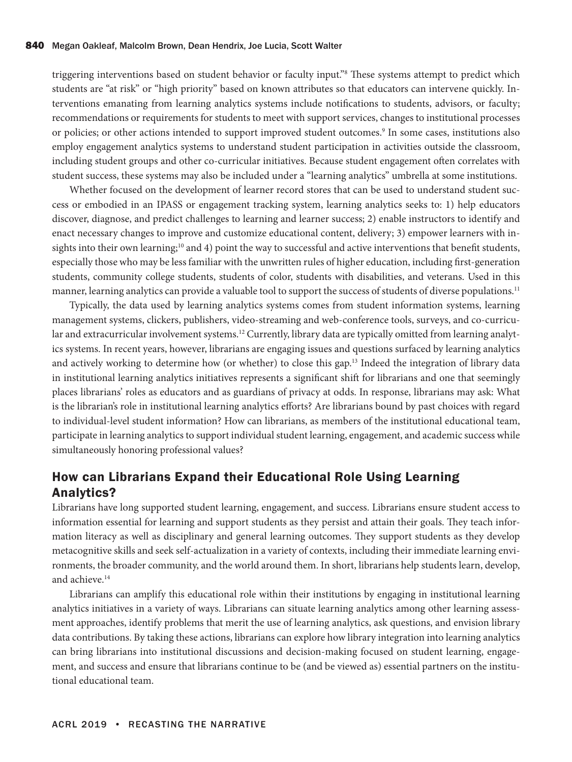<span id="page-2-0"></span>triggering interventions based on student behavior or faculty input."[8](#page-8-0) These systems attempt to predict which students are "at risk" or "high priority" based on known attributes so that educators can intervene quickly. Interventions emanating from learning analytics systems include notifications to students, advisors, or faculty; recommendations or requirements for students to meet with support services, changes to institutional processes or policies; or other actions intended to support improved student outcomes.<sup>[9](#page-8-0)</sup> In some cases, institutions also employ engagement analytics systems to understand student participation in activities outside the classroom, including student groups and other co-curricular initiatives. Because student engagement often correlates with student success, these systems may also be included under a "learning analytics" umbrella at some institutions.

Whether focused on the development of learner record stores that can be used to understand student success or embodied in an IPASS or engagement tracking system, learning analytics seeks to: 1) help educators discover, diagnose, and predict challenges to learning and learner success; 2) enable instructors to identify and enact necessary changes to improve and customize educational content, delivery; 3) empower learners with insights into their own learning;<sup>10</sup> and 4) point the way to successful and active interventions that benefit students, especially those who may be less familiar with the unwritten rules of higher education, including first-generation students, community college students, students of color, students with disabilities, and veterans. Used in this manner, learning analytics can provide a valuable tool to support the success of students of diverse populations.<sup>[11](#page-8-0)</sup>

Typically, the data used by learning analytics systems comes from student information systems, learning management systems, clickers, publishers, video-streaming and web-conference tools, surveys, and co-curricu-lar and extracurricular involvement systems.<sup>[12](#page-8-0)</sup> Currently, library data are typically omitted from learning analytics systems. In recent years, however, librarians are engaging issues and questions surfaced by learning analytics and actively working to determine how (or whether) to close this gap[.13](#page-8-0) Indeed the integration of library data in institutional learning analytics initiatives represents a significant shift for librarians and one that seemingly places librarians' roles as educators and as guardians of privacy at odds. In response, librarians may ask: What is the librarian's role in institutional learning analytics efforts? Are librarians bound by past choices with regard to individual-level student information? How can librarians, as members of the institutional educational team, participate in learning analytics to support individual student learning, engagement, and academic success while simultaneously honoring professional values?

### How can Librarians Expand their Educational Role Using Learning Analytics?

Librarians have long supported student learning, engagement, and success. Librarians ensure student access to information essential for learning and support students as they persist and attain their goals. They teach information literacy as well as disciplinary and general learning outcomes. They support students as they develop metacognitive skills and seek self-actualization in a variety of contexts, including their immediate learning environments, the broader community, and the world around them. In short, librarians help students learn, develop, and achieve.<sup>14</sup>

Librarians can amplify this educational role within their institutions by engaging in institutional learning analytics initiatives in a variety of ways. Librarians can situate learning analytics among other learning assessment approaches, identify problems that merit the use of learning analytics, ask questions, and envision library data contributions. By taking these actions, librarians can explore how library integration into learning analytics can bring librarians into institutional discussions and decision-making focused on student learning, engagement, and success and ensure that librarians continue to be (and be viewed as) essential partners on the institutional educational team.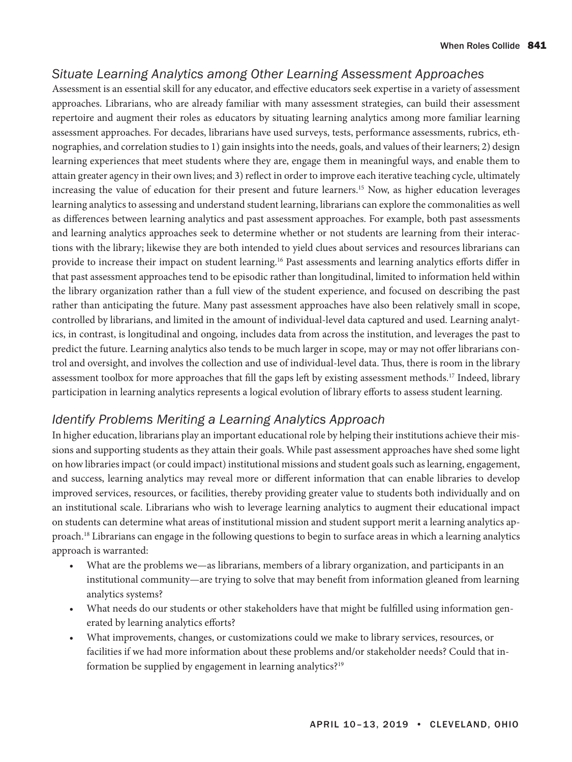# <span id="page-3-0"></span>*Situate Learning Analytics among Other Learning Assessment Approaches*

Assessment is an essential skill for any educator, and effective educators seek expertise in a variety of assessment approaches. Librarians, who are already familiar with many assessment strategies, can build their assessment repertoire and augment their roles as educators by situating learning analytics among more familiar learning assessment approaches. For decades, librarians have used surveys, tests, performance assessments, rubrics, ethnographies, and correlation studies to 1) gain insights into the needs, goals, and values of their learners; 2) design learning experiences that meet students where they are, engage them in meaningful ways, and enable them to attain greater agency in their own lives; and 3) reflect in order to improve each iterative teaching cycle, ultimately increasing the value of education for their present and future learners[.15](#page-8-0) Now, as higher education leverages learning analytics to assessing and understand student learning, librarians can explore the commonalities as well as differences between learning analytics and past assessment approaches. For example, both past assessments and learning analytics approaches seek to determine whether or not students are learning from their interactions with the library; likewise they are both intended to yield clues about services and resources librarians can provide to increase their impact on student learning.[16](#page-8-0) Past assessments and learning analytics efforts differ in that past assessment approaches tend to be episodic rather than longitudinal, limited to information held within the library organization rather than a full view of the student experience, and focused on describing the past rather than anticipating the future. Many past assessment approaches have also been relatively small in scope, controlled by librarians, and limited in the amount of individual-level data captured and used. Learning analytics, in contrast, is longitudinal and ongoing, includes data from across the institution, and leverages the past to predict the future. Learning analytics also tends to be much larger in scope, may or may not offer librarians control and oversight, and involves the collection and use of individual-level data. Thus, there is room in the library assessment toolbox for more approaches that fill the gaps left by existing assessment methods[.17](#page-8-0) Indeed, library participation in learning analytics represents a logical evolution of library efforts to assess student learning.

# *Identify Problems Meriting a Learning Analytics Approach*

In higher education, librarians play an important educational role by helping their institutions achieve their missions and supporting students as they attain their goals. While past assessment approaches have shed some light on how libraries impact (or could impact) institutional missions and student goals such as learning, engagement, and success, learning analytics may reveal more or different information that can enable libraries to develop improved services, resources, or facilities, thereby providing greater value to students both individually and on an institutional scale. Librarians who wish to leverage learning analytics to augment their educational impact on students can determine what areas of institutional mission and student support merit a learning analytics approach[.18](#page-8-0) Librarians can engage in the following questions to begin to surface areas in which a learning analytics approach is warranted:

- What are the problems we—as librarians, members of a library organization, and participants in an institutional community—are trying to solve that may benefit from information gleaned from learning analytics systems?
- What needs do our students or other stakeholders have that might be fulfilled using information generated by learning analytics efforts?
- What improvements, changes, or customizations could we make to library services, resources, or facilities if we had more information about these problems and/or stakeholder needs? Could that in-formation be supplied by engagement in learning analytics?<sup>[19](#page-8-0)</sup>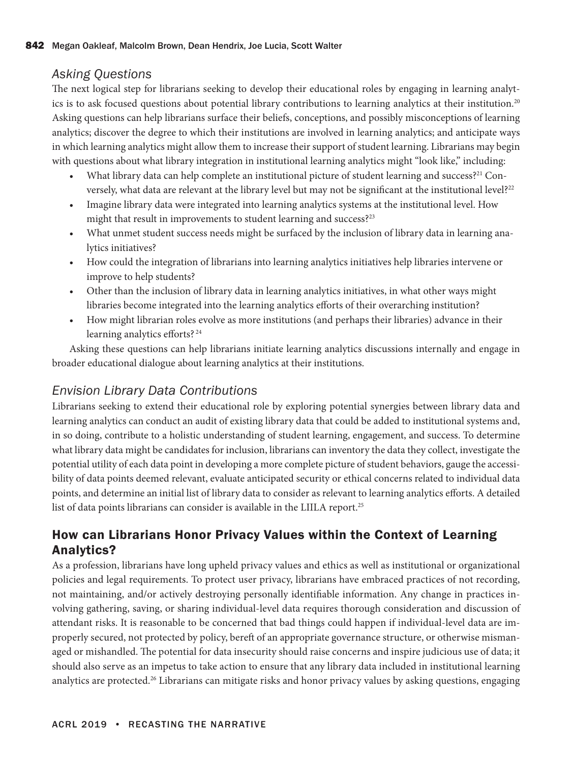### <span id="page-4-0"></span>*Asking Questions*

The next logical step for librarians seeking to develop their educational roles by engaging in learning analyt-ics is to ask focused questions about potential library contributions to learning analytics at their institution.<sup>[20](#page-8-0)</sup> Asking questions can help librarians surface their beliefs, conceptions, and possibly misconceptions of learning analytics; discover the degree to which their institutions are involved in learning analytics; and anticipate ways in which learning analytics might allow them to increase their support of student learning. Librarians may begin with questions about what library integration in institutional learning analytics might "look like," including:

- What library data can help complete an institutional picture of student learning and success?<sup>[21](#page-8-0)</sup> Con-versely, what data are relevant at the library level but may not be significant at the institutional level?<sup>[22](#page-8-0)</sup>
- Imagine library data were integrated into learning analytics systems at the institutional level. How might that result in improvements to student learning and success?<sup>23</sup>
- What unmet student success needs might be surfaced by the inclusion of library data in learning analytics initiatives?
- How could the integration of librarians into learning analytics initiatives help libraries intervene or improve to help students?
- Other than the inclusion of library data in learning analytics initiatives, in what other ways might libraries become integrated into the learning analytics efforts of their overarching institution?
- How might librarian roles evolve as more institutions (and perhaps their libraries) advance in their learning analytics efforts? [24](#page-8-0)

Asking these questions can help librarians initiate learning analytics discussions internally and engage in broader educational dialogue about learning analytics at their institutions.

# *Envision Library Data Contributions*

Librarians seeking to extend their educational role by exploring potential synergies between library data and learning analytics can conduct an audit of existing library data that could be added to institutional systems and, in so doing, contribute to a holistic understanding of student learning, engagement, and success. To determine what library data might be candidates for inclusion, librarians can inventory the data they collect, investigate the potential utility of each data point in developing a more complete picture of student behaviors, gauge the accessibility of data points deemed relevant, evaluate anticipated security or ethical concerns related to individual data points, and determine an initial list of library data to consider as relevant to learning analytics efforts. A detailed list of data points librarians can consider is available in the LIILA report.<sup>[25](#page-8-0)</sup>

# How can Librarians Honor Privacy Values within the Context of Learning Analytics?

As a profession, librarians have long upheld privacy values and ethics as well as institutional or organizational policies and legal requirements. To protect user privacy, librarians have embraced practices of not recording, not maintaining, and/or actively destroying personally identifiable information. Any change in practices involving gathering, saving, or sharing individual-level data requires thorough consideration and discussion of attendant risks. It is reasonable to be concerned that bad things could happen if individual-level data are improperly secured, not protected by policy, bereft of an appropriate governance structure, or otherwise mismanaged or mishandled. The potential for data insecurity should raise concerns and inspire judicious use of data; it should also serve as an impetus to take action to ensure that any library data included in institutional learning analytics are protected[.26](#page-8-0) Librarians can mitigate risks and honor privacy values by asking questions, engaging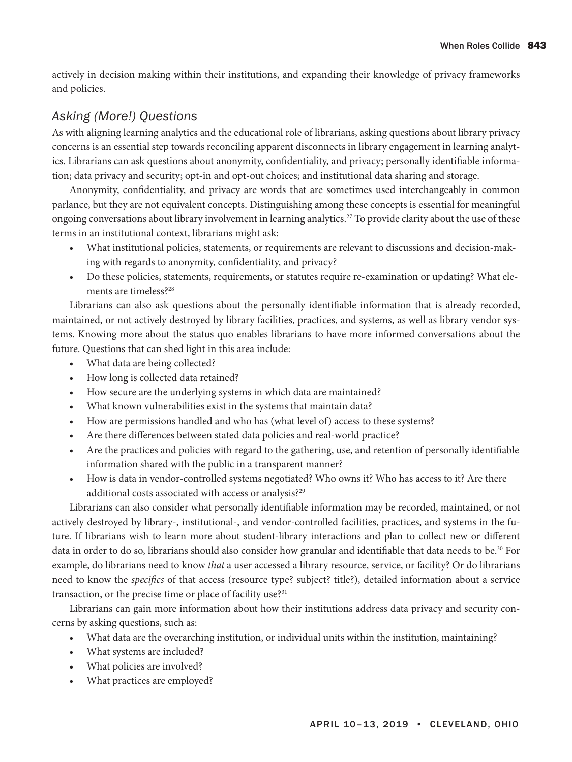<span id="page-5-0"></span>actively in decision making within their institutions, and expanding their knowledge of privacy frameworks and policies.

### *Asking (More!) Questions*

As with aligning learning analytics and the educational role of librarians, asking questions about library privacy concerns is an essential step towards reconciling apparent disconnects in library engagement in learning analytics. Librarians can ask questions about anonymity, confidentiality, and privacy; personally identifiable information; data privacy and security; opt-in and opt-out choices; and institutional data sharing and storage.

Anonymity, confidentiality, and privacy are words that are sometimes used interchangeably in common parlance, but they are not equivalent concepts. Distinguishing among these concepts is essential for meaningful ongoing conversations about library involvement in learning analytics.[27](#page-8-0) To provide clarity about the use of these terms in an institutional context, librarians might ask:

- What institutional policies, statements, or requirements are relevant to discussions and decision-making with regards to anonymity, confidentiality, and privacy?
- Do these policies, statements, requirements, or statutes require re-examination or updating? What elements are timeless?[28](#page-8-0)

Librarians can also ask questions about the personally identifiable information that is already recorded, maintained, or not actively destroyed by library facilities, practices, and systems, as well as library vendor systems. Knowing more about the status quo enables librarians to have more informed conversations about the future. Questions that can shed light in this area include:

- What data are being collected?
- How long is collected data retained?
- How secure are the underlying systems in which data are maintained?
- What known vulnerabilities exist in the systems that maintain data?
- How are permissions handled and who has (what level of) access to these systems?
- Are there differences between stated data policies and real-world practice?
- Are the practices and policies with regard to the gathering, use, and retention of personally identifiable information shared with the public in a transparent manner?
- How is data in vendor-controlled systems negotiated? Who owns it? Who has access to it? Are there additional costs associated with access or analysis?<sup>[29](#page-8-0)</sup>

Librarians can also consider what personally identifiable information may be recorded, maintained, or not actively destroyed by library-, institutional-, and vendor-controlled facilities, practices, and systems in the future. If librarians wish to learn more about student-library interactions and plan to collect new or different data in order to do so, librarians should also consider how granular and identifiable that data needs to be.<sup>30</sup> For example, do librarians need to know *that* a user accessed a library resource, service, or facility? Or do librarians need to know the *specifics* of that access (resource type? subject? title?), detailed information about a service transaction, or the precise time or place of facility use?<sup>31</sup>

Librarians can gain more information about how their institutions address data privacy and security concerns by asking questions, such as:

- What data are the overarching institution, or individual units within the institution, maintaining?
- What systems are included?
- What policies are involved?
- What practices are employed?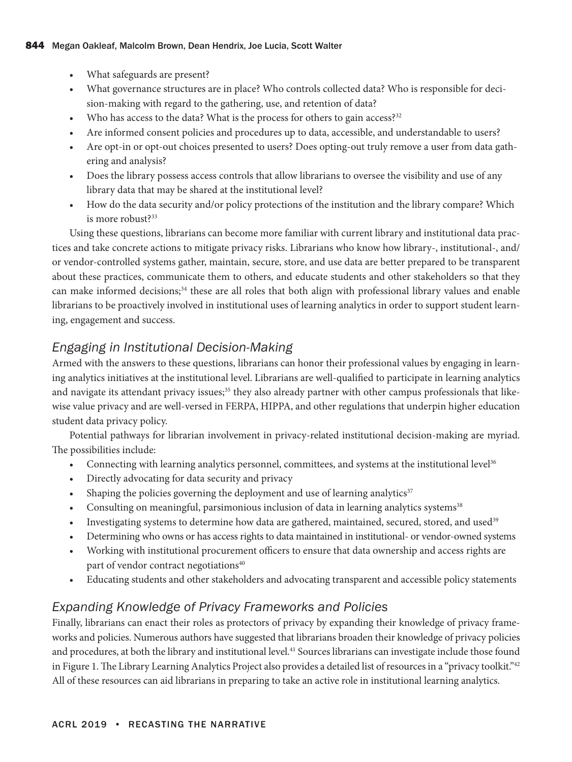- <span id="page-6-0"></span>• What safeguards are present?
- What governance structures are in place? Who controls collected data? Who is responsible for decision-making with regard to the gathering, use, and retention of data?
- Who has access to the data? What is the process for others to gain access?<sup>[32](#page-8-0)</sup>
- Are informed consent policies and procedures up to data, accessible, and understandable to users?
- Are opt-in or opt-out choices presented to users? Does opting-out truly remove a user from data gathering and analysis?
- Does the library possess access controls that allow librarians to oversee the visibility and use of any library data that may be shared at the institutional level?
- How do the data security and/or policy protections of the institution and the library compare? Which is more robust?<sup>33</sup>

Using these questions, librarians can become more familiar with current library and institutional data practices and take concrete actions to mitigate privacy risks. Librarians who know how library-, institutional-, and/ or vendor-controlled systems gather, maintain, secure, store, and use data are better prepared to be transparent about these practices, communicate them to others, and educate students and other stakeholders so that they can make informed decisions;<sup>[34](#page-8-0)</sup> these are all roles that both align with professional library values and enable librarians to be proactively involved in institutional uses of learning analytics in order to support student learning, engagement and success.

# *Engaging in Institutional Decision-Making*

Armed with the answers to these questions, librarians can honor their professional values by engaging in learning analytics initiatives at the institutional level. Librarians are well-qualified to participate in learning analytics and navigate its attendant privacy issues;<sup>35</sup> they also already partner with other campus professionals that likewise value privacy and are well-versed in FERPA, HIPPA, and other regulations that underpin higher education student data privacy policy.

Potential pathways for librarian involvement in privacy-related institutional decision-making are myriad. The possibilities include:

- Connecting with learning analytics personnel, committees, and systems at the institutional level<sup>36</sup>
- Directly advocating for data security and privacy
- Shaping the policies governing the deployment and use of learning analytics $37$
- Consulting on meaningful, parsimonious inclusion of data in learning analytics systems<sup>38</sup>
- Investigating systems to determine how data are gathered, maintained, secured, stored, and used<sup>[39](#page-9-0)</sup>
- Determining who owns or has access rights to data maintained in institutional- or vendor-owned systems
- Working with institutional procurement officers to ensure that data ownership and access rights are part of vendor contract negotiations<sup>40</sup>
- Educating students and other stakeholders and advocating transparent and accessible policy statements

# *Expanding Knowledge of Privacy Frameworks and Policies*

Finally, librarians can enact their roles as protectors of privacy by expanding their knowledge of privacy frameworks and policies. Numerous authors have suggested that librarians broaden their knowledge of privacy policies and procedures, at both the library and institutional level.[41](#page-9-0) Sources librarians can investigate include those found in Figure 1. The Library Learning Analytics Project also provides a detailed list of resources in a "privacy toolkit."<sup>[42](#page-9-0)</sup> All of these resources can aid librarians in preparing to take an active role in institutional learning analytics.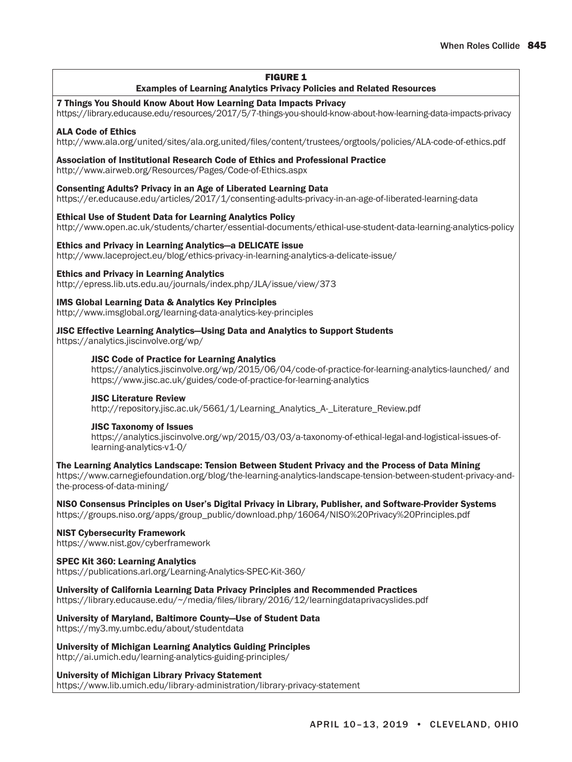#### FIGURE 1

#### Examples of Learning Analytics Privacy Policies and Related Resources

#### 7 Things You Should Know About How Learning Data Impacts Privacy

<https://library.educause.edu/resources/2017/5/7-things-you-should-know-about-how-learning-data-impacts-privacy>

#### ALA Code of Ethics

<http://www.ala.org/united/sites/ala.org.united/files/content/trustees/orgtools/policies/ALA-code-of-ethics.pdf>

#### Association of Institutional Research Code of Ethics and Professional Practice

<http://www.airweb.org/Resources/Pages/Code-of-Ethics.aspx>

#### Consenting Adults? Privacy in an Age of Liberated Learning Data

<https://er.educause.edu/articles/2017/1/consenting-adults-privacy-in-an-age-of-liberated-learning-data>

#### Ethical Use of Student Data for Learning Analytics Policy

<http://www.open.ac.uk/students/charter/essential-documents/ethical-use-student-data-learning-analytics-policy>

#### Ethics and Privacy in Learning Analytics—a DELICATE issue

<http://www.laceproject.eu/blog/ethics-privacy-in-learning-analytics-a-delicate-issue/>

#### Ethics and Privacy in Learning Analytics

<http://epress.lib.uts.edu.au/journals/index.php/JLA/issue/view/373>

#### IMS Global Learning Data & Analytics Key Principles

<http://www.imsglobal.org/learning-data-analytics-key-principles>

#### JISC Effective Learning Analytics—Using Data and Analytics to Support Students

<https://analytics.jiscinvolve.org/wp/>

#### JISC Code of Practice for Learning Analytics

<https://analytics.jiscinvolve.org/wp/2015/06/04/code-of-practice-for-learning-analytics-launched/> and <https://www.jisc.ac.uk/guides/code-of-practice-for-learning-analytics>

#### JISC Literature Review

[http://repository.jisc.ac.uk/5661/1/Learning\\_Analytics\\_A-\\_Literature\\_Review.pdf](http://repository.jisc.ac.uk/5661/1/Learning_Analytics_A-_Literature_Review.pdf)

#### JISC Taxonomy of Issues

[https://analytics.jiscinvolve.org/wp/2015/03/03/a-taxonomy-of-ethical-legal-and-logistical-issues-of](https://analytics.jiscinvolve.org/wp/2015/03/03/a-taxonomy-of-ethical-legal-and-logistical-issues-of-learning-analytics-v1-0/)[learning-analytics-v1-0/](https://analytics.jiscinvolve.org/wp/2015/03/03/a-taxonomy-of-ethical-legal-and-logistical-issues-of-learning-analytics-v1-0/)

#### The Learning Analytics Landscape: Tension Between Student Privacy and the Process of Data Mining

[https://www.carnegiefoundation.org/blog/the-learning-analytics-landscape-tension-between-student-privacy-and](https://www.carnegiefoundation.org/blog/the-learning-analytics-landscape-tension-between-student-privacy-and-the-process-of-data-mining/)[the-process-of-data-mining/](https://www.carnegiefoundation.org/blog/the-learning-analytics-landscape-tension-between-student-privacy-and-the-process-of-data-mining/)

#### NISO Consensus Principles on User's Digital Privacy in Library, Publisher, and Software-Provider Systems [https://groups.niso.org/apps/group\\_public/download.php/16064/NISO%20Privacy%20Principles.pdf](https://groups.niso.org/apps/group_public/download.php/16064/NISO%20Privacy%20Principles.pdf)

#### NIST Cybersecurity Framework

<https://www.nist.gov/cyberframework>

#### SPEC Kit 360: Learning Analytics

<https://publications.arl.org/Learning-Analytics-SPEC-Kit-360/>

#### University of California Learning Data Privacy Principles and Recommended Practices

<https://library.educause.edu/~/media/files/library/2016/12/learningdataprivacyslides.pdf>

#### University of Maryland, Baltimore County—Use of Student Data

<https://my3.my.umbc.edu/about/studentdata>

#### University of Michigan Learning Analytics Guiding Principles

<http://ai.umich.edu/learning-analytics-guiding-principles/>

#### University of Michigan Library Privacy Statement

<https://www.lib.umich.edu/library-administration/library-privacy-statement>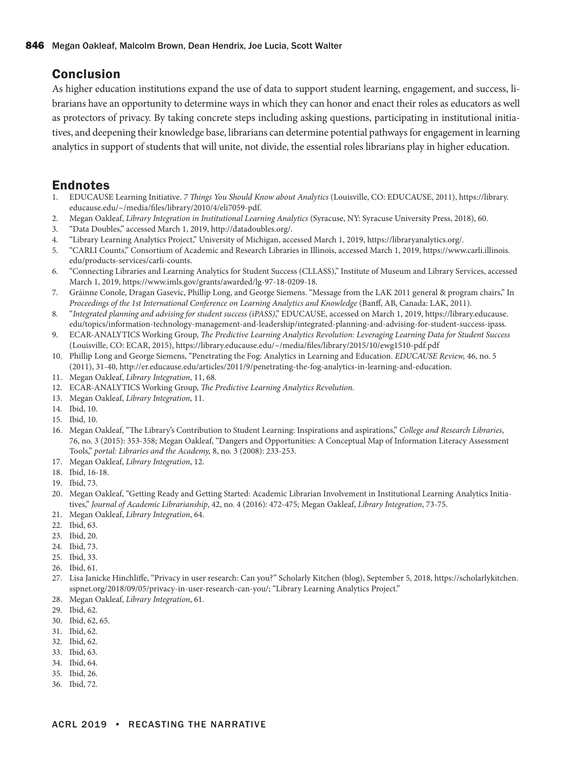### <span id="page-8-0"></span>Conclusion

As higher education institutions expand the use of data to support student learning, engagement, and success, librarians have an opportunity to determine ways in which they can honor and enact their roles as educators as well as protectors of privacy. By taking concrete steps including asking questions, participating in institutional initiatives, and deepening their knowledge base, librarians can determine potential pathways for engagement in learning analytics in support of students that will unite, not divide, the essential roles librarians play in higher education.

### Endnotes

- [1](#page-0-0). EDUCAUSE Learning Initiative. *7 Things You Should Know about Analytics* (Louisville, CO: EDUCAUSE, 2011), [https://library.](https://library.educause.edu/~/media/files/library/2010/4/eli7059-pdf) [educause.edu/~/media/files/library/2010/4/eli7059-pdf.](https://library.educause.edu/~/media/files/library/2010/4/eli7059-pdf)
- [2](#page-0-0). Megan Oakleaf, *Library Integration in Institutional Learning Analytics* (Syracuse, NY: Syracuse University Press, 2018), 60.
- [3](#page-1-0). "Data Doubles," accessed March 1, 2019, [http://datadoubles.org/.](http://datadoubles.org/)
- [4](#page-1-0). "Library Learning Analytics Project," University of Michigan, accessed March 1, 2019, [https://libraryanalytics.org/.](https://libraryanalytics.org/)
- [5](#page-1-0). "CARLI Counts," Consortium of Academic and Research Libraries in Illinois, accessed March 1, 2019, [https://www.carli.illinois.](https://www.carli.illinois.edu/products-services/carli-counts) [edu/products-services/carli-counts](https://www.carli.illinois.edu/products-services/carli-counts).
- [6](#page-1-0). "Connecting Libraries and Learning Analytics for Student Success (CLLASS)," Institute of Museum and Library Services, accessed March 1, 2019, [https://www.imls.gov/grants/awarded/lg-97-18-0209-18.](https://www.imls.gov/grants/awarded/lg-97-18-0209-18)
- [7](#page-1-0). Gráinne Conole, Dragan Gasevic, Phillip Long, and George Siemens. "Message from the LAK 2011 general & program chairs," In *Proceedings of the 1st International Conference on Learning Analytics and Knowledge* (Banff, AB, Canada: LAK, 2011)*.*
- [8](#page-2-0). "*Integrated planning and advising for student success (iPASS)*," EDUCAUSE, accessed on March 1, 2019, [https://library.educause.](https://library.educause.edu/topics/information-technology-management-and-leadership/integrated-planning-and-advising-for-student-success-ipass) [edu/topics/information-technology-management-and-leadership/integrated-planning-and-advising-for-student-success-ipass](https://library.educause.edu/topics/information-technology-management-and-leadership/integrated-planning-and-advising-for-student-success-ipass).
- [9](#page-2-0). ECAR-ANALYTICS Working Group, *The Predictive Learning Analytics Revolution: Leveraging Learning Data for Student Success* (Louisville, CO: ECAR, 2015), <https://library.educause.edu/~/media/files/library/2015/10/ewg1510-pdf.pdf>
- [10.](#page-2-0) Phillip Long and George Siemens, "Penetrating the Fog: Analytics in Learning and Education. *EDUCAUSE Review,* 46, no. 5 (2011), 31-40,<http://er.educause.edu/articles/2011/9/penetrating-the-fog-analytics-in-learning-and-education>.
- [11.](#page-2-0) Megan Oakleaf, *Library Integration*, 11, 68.
- [12.](#page-2-0) ECAR-ANALYTICS Working Group, *The Predictive Learning Analytics Revolution.*
- [13.](#page-2-0) Megan Oakleaf, *Library Integration*, 11.
- [14.](#page-2-0) Ibid, 10.
- [15.](#page-3-0) Ibid, 10.
- [16.](#page-3-0) Megan Oakleaf, "The Library's Contribution to Student Learning: Inspirations and aspirations," *College and Research Libraries*, 76, no. 3 (2015): 353-358; Megan Oakleaf, "Dangers and Opportunities: A Conceptual Map of Information Literacy Assessment Tools," *portal: Libraries and the Academy,* 8, no. 3 (2008): 233-253.
- [17.](#page-3-0) Megan Oakleaf, *Library Integration*, 12.
- [18.](#page-3-0) Ibid, 16-18.
- [19.](#page-3-0) Ibid, 73.
- [20.](#page-4-0) Megan Oakleaf, "Getting Ready and Getting Started: Academic Librarian Involvement in Institutional Learning Analytics Initiatives," *Journal of Academic Librarianship*, 42, no. 4 (2016): 472-475; Megan Oakleaf, *Library Integration*, 73-75.
- [21.](#page-4-0) Megan Oakleaf, *Library Integration*, 64.
- [22.](#page-4-0) Ibid, 63.
- [23.](#page-4-0) Ibid, 20.
- [24.](#page-4-0) Ibid, 73.
- [25.](#page-4-0) Ibid, 33.
- [26.](#page-4-0) Ibid, 61.
- [27.](#page-5-0) Lisa Janicke Hinchliffe, "Privacy in user research: Can you?" Scholarly Kitchen (blog), September 5, 2018, [https://scholarlykitchen.](https://scholarlykitchen.sspnet.org/2018/09/05/privacy-in-user-research-can-you/) [sspnet.org/2018/09/05/privacy-in-user-research-can-you/;](https://scholarlykitchen.sspnet.org/2018/09/05/privacy-in-user-research-can-you/) "Library Learning Analytics Project."
- [28.](#page-5-0) Megan Oakleaf, *Library Integration*, 61.
- [29.](#page-5-0) Ibid, 62.
- [30.](#page-5-0) Ibid, 62, 65.
- [31.](#page-5-0) Ibid, 62.
- [32.](#page-6-0) Ibid, 62.
- [33.](#page-6-0) Ibid, 63.
- [34.](#page-6-0) Ibid, 64.
- [35.](#page-6-0) Ibid, 26.
- [36.](#page-6-0) Ibid, 72.